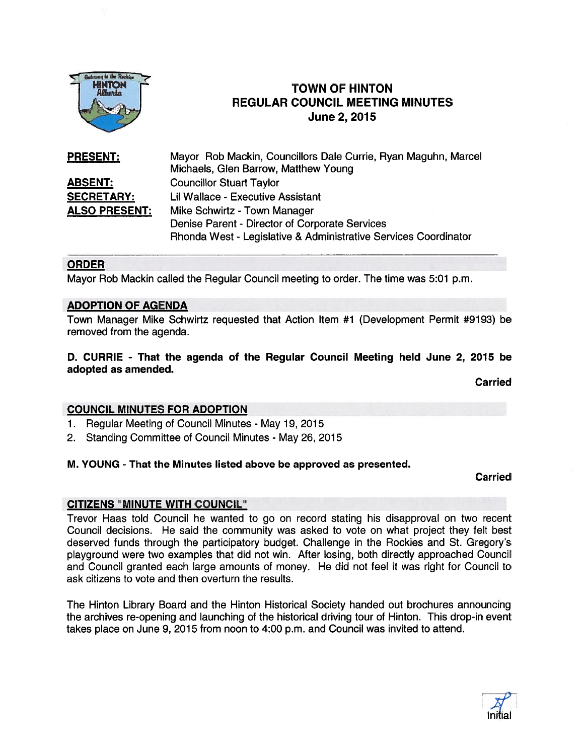

# TOWN OF HINTON REGULAR COUNCIL MEETING MINUTES Getting to the Rechting<br>
HINTON<br>
Albertia<br>
TOWN OF HINT<br>
Albertia<br>
June 2, 2015

Mayor Rob Mackin, Councillors Dale Currie, Ryan Maguhn, Marcel Michaels, Glen Barrow, Matthew Young ABSENT: Councillor Stuart Taylor **SECRETARY:** Lil Wallace - Executive Assistant ALSO PRESENT: Mike Schwirtz - Town Manager Denise Parent - Director of Corporate Services Rhonda West - Legislative & Administrative Services Coordinator PRESENT:

#### ORDER

Mayor Rob Mackin called the Regular Council meeting to order. The time was 5:01 p.m.

#### ADOPTION OF AGENDA

Town Manager Mike Schwirtz requested that Action Item #1 (Development Permit #9193) be removed from the agenda.

## 0. CURRIE - That the agenda of the Regular Council Meeting held June 2, 2015 be adopted as amended.

Carried

## COUNCIL MINUTES FOR ADOPTION

- 1. Regular Meeting of Council Minutes May 19, 2015
- 2. Standing Committee of Council Minutes May 26, 2015

#### M. YOUNG - That the Minutes listed above be approved as presented.

Carried

## CITIZENS "MINUTE WITH COUNCIL"

Trevor Haas told Council he wanted to go on record stating his disapproval on two recent Council decisions. He said the community was asked to vote on what project they felt best deserved funds through the participatory budget. Challenge in the Rockies and St. Gregory's playground were two examples that did not win. After losing, both directly approached Council and Council granted each large amounts of money. He did not feel it was right for Council to ask citizens to vote and then overturn the results.

The Hinton Library Board and the Hinton Historical Society handed out brochures announcing the archives re-opening and launching of the historical driving tour of Hinton. This drop-in event takes place on June 9, 2015 from noon to 4:00 p.m. and Council was invited to attend.

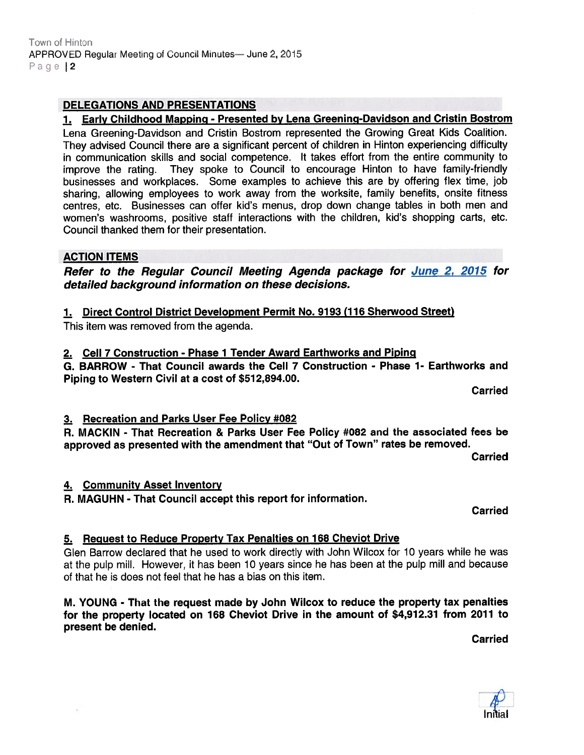## ACTION ITEMS

Refer to the Regular Council Meeting Agenda package for June 2, 2015 for detailed background information on these decisions.

1. Early Childhood Mapping - Presented by Lena Greening-Davidson and Cristin Bostrom Lena Greening-Davidson and Cristin Bostrom represented the Growing Great Kids Coalition. They advised Council there are <sup>a</sup> significant percen<sup>t</sup> of children in Hinton experiencing difficulty in communication skills and social competence. It takes effort from the entire community to improve the rating. They spoke to Council to encourage Hinton to have family-friendly businesses and workplaces. Some examples to achieve this are by offering flex time, job

1. Direct Control District Development Permit No. 9193 (116 Sherwood Street)

This item was removed from the agenda.

Council thanked them for their presentation.

2. Cell 7 Construction - Phase 1 Tender Award Earthworks and Piping

G. BARROW - That Council awards the Cell 7 Construction - Phase 1- Earthworks and Piping to Western Civil at <sup>a</sup> cost of \$512,894.00.

Carried

## 3. Recreation and Parks User Fee Policy #082

R. MACKIN - That Recreation & Parks User Fee Policy #082 and the associated fees be approve<sup>d</sup> as presented with the amendment that "Out of Town" rates be removed.

Carried

# 4. Community Asset Inventory

R. MAGUHN - That Council accep<sup>t</sup> this repor<sup>t</sup> for information.

**Carried** 

## 5. Request to Reduce Property Tax Penalties on 168 Cheviot Drive

Glen Barrow declared that he used to work directly with John Wilcox for 10 years while he was at the pulp mill. However, it has been 10 years since he has been at the pulp mill and because of that he is does not feel that he has <sup>a</sup> bias on this item.

M. YOUNG - That the reques<sup>t</sup> made by John Wilcox to reduce the property tax penalties for the property located on 768 Cheviot Drive in the amount of \$4,972.31 from 2071 to presen<sup>t</sup> be denied.

**Carried** 



# DELEGATIONS AND PRESENTATIONS